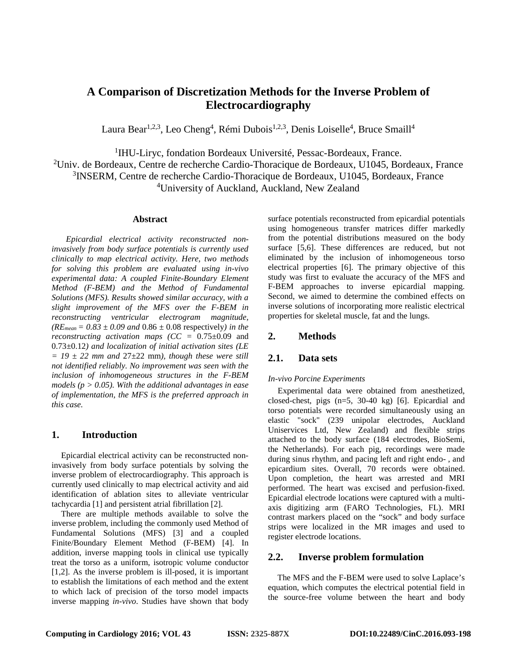# **A Comparison of Discretization Methods for the Inverse Problem of Electrocardiography**

Laura Bear<sup>1,2,3</sup>, Leo Cheng<sup>4</sup>, Rémi Dubois<sup>1,2,3</sup>, Denis Loiselle<sup>4</sup>, Bruce Smaill<sup>4</sup>

<sup>1</sup>IHU-Liryc, fondation Bordeaux Université, Pessac-Bordeaux, France.

 $^{2}$ Univ. de Bordeaux, Centre de recherche Cardio-Thoracique de Bordeaux, U1045, Bordeaux, France 3 INSERM, Centre de recherche Cardio-Thoracique de Bordeaux, U1045, Bordeaux, France 4 University of Auckland, Auckland, New Zealand

### **Abstract**

*Epicardial electrical activity reconstructed noninvasively from body surface potentials is currently used clinically to map electrical activity. Here, two methods for solving this problem are evaluated using in-vivo experimental data: A coupled Finite-Boundary Element Method (F-BEM) and the Method of Fundamental Solutions (MFS). Results showed similar accuracy, with a slight improvement of the MFS over the F-BEM in reconstructing ventricular electrogram magnitude,*   $(RE_{mean} = 0.83 \pm 0.09$  *and*  $0.86 \pm 0.08$  respectively*) in the reconstructing activation maps (CC =* 0.75±0.09 and 0.73±0.12*) and localization of initial activation sites (LE*   $= 19 \pm 22$  mm and  $27 \pm 22$  mm), though these were still *not identified reliably. No improvement was seen with the inclusion of inhomogeneous structures in the F-BEM models (p > 0.05). With the additional advantages in ease of implementation, the MFS is the preferred approach in this case.*

## **1. Introduction**

Epicardial electrical activity can be reconstructed noninvasively from body surface potentials by solving the inverse problem of electrocardiography. This approach is currently used clinically to map electrical activity and aid identification of ablation sites to alleviate ventricular tachycardia [1] and persistent atrial fibrillation [2].

There are multiple methods available to solve the inverse problem, including the commonly used Method of Fundamental Solutions (MFS) [3] and a coupled Finite/Boundary Element Method (F-BEM) [4]. In addition, inverse mapping tools in clinical use typically treat the torso as a uniform, isotropic volume conductor [1,2]. As the inverse problem is ill-posed, it is important to establish the limitations of each method and the extent to which lack of precision of the torso model impacts inverse mapping *in-vivo*. Studies have shown that body

surface potentials reconstructed from epicardial potentials using homogeneous transfer matrices differ markedly from the potential distributions measured on the body surface [5,6]. These differences are reduced, but not eliminated by the inclusion of inhomogeneous torso electrical properties [6]. The primary objective of this study was first to evaluate the accuracy of the MFS and F-BEM approaches to inverse epicardial mapping. Second, we aimed to determine the combined effects on inverse solutions of incorporating more realistic electrical properties for skeletal muscle, fat and the lungs.

## **2. Methods**

## **2.1. Data sets**

## *In-vivo Porcine Experiments*

Experimental data were obtained from anesthetized, closed-chest, pigs (n=5, 30-40 kg) [6]. Epicardial and torso potentials were recorded simultaneously using an elastic "sock" (239 unipolar electrodes, Auckland Uniservices Ltd, New Zealand) and flexible strips attached to the body surface (184 electrodes, BioSemi, the Netherlands). For each pig, recordings were made during sinus rhythm, and pacing left and right endo- , and epicardium sites. Overall, 70 records were obtained. Upon completion, the heart was arrested and MRI performed. The heart was excised and perfusion-fixed. Epicardial electrode locations were captured with a multiaxis digitizing arm (FARO Technologies, FL). MRI contrast markers placed on the "sock" and body surface strips were localized in the MR images and used to register electrode locations.

## **2.2. Inverse problem formulation**

The MFS and the F-BEM were used to solve Laplace's equation, which computes the electrical potential field in the source-free volume between the heart and body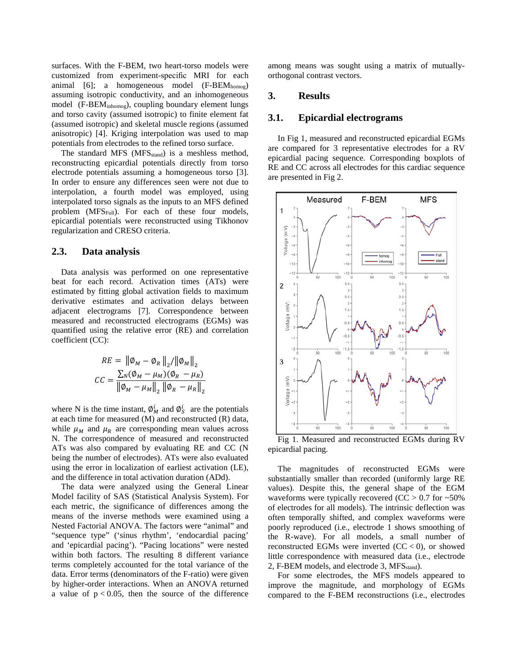surfaces. With the F-BEM, two heart-torso models were customized from experiment-specific MRI for each animal [6]; a homogeneous model (F-BEM<sub>homog</sub>) assuming isotropic conductivity, and an inhomogeneous model (F-BEMinhomog), coupling boundary element lungs and torso cavity (assumed isotropic) to finite element fat (assumed isotropic) and skeletal muscle regions (assumed anisotropic) [4]. Kriging interpolation was used to map potentials from electrodes to the refined torso surface.

The standard MFS (MFS<sub>stand</sub>) is a meshless method, reconstructing epicardial potentials directly from torso electrode potentials assuming a homogeneous torso [3]. In order to ensure any differences seen were not due to interpolation, a fourth model was employed, using interpolated torso signals as the inputs to an MFS defined problem ( $MFS_{Full}$ ). For each of these four models, epicardial potentials were reconstructed using Tikhonov regularization and CRESO criteria.

### **2.3. Data analysis**

Data analysis was performed on one representative beat for each record. Activation times (ATs) were estimated by fitting global activation fields to maximum derivative estimates and activation delays between adjacent electrograms [7]. Correspondence between measured and reconstructed electrograms (EGMs) was quantified using the relative error (RE) and correlation coefficient (CC):

$$
RE = \|\phi_M - \phi_R\|_2 / \|\phi_M\|_2
$$
  
\n
$$
CC = \frac{\sum_N (\phi_M - \mu_M)(\phi_R - \mu_R)}{\|\phi_M - \mu_M\|_2 \|\phi_R - \mu_R\|_2}
$$

where N is the time instant,  $\phi_M^l$  and  $\phi_S^l$  are the potentials at each time for measured (M) and reconstructed (R) data, while  $\mu_M$  and  $\mu_R$  are corresponding mean values across N. The correspondence of measured and reconstructed ATs was also compared by evaluating RE and CC (N being the number of electrodes). ATs were also evaluated using the error in localization of earliest activation (LE), and the difference in total activation duration (ADd).

The data were analyzed using the General Linear Model facility of SAS (Statistical Analysis System). For each metric, the significance of differences among the means of the inverse methods were examined using a Nested Factorial ANOVA. The factors were "animal" and "sequence type" ('sinus rhythm', 'endocardial pacing' and 'epicardial pacing'). "Pacing locations" were nested within both factors. The resulting 8 different variance terms completely accounted for the total variance of the data. Error terms (denominators of the F-ratio) were given by higher-order interactions. When an ANOVA returned a value of  $p < 0.05$ , then the source of the difference

among means was sought using a matrix of mutuallyorthogonal contrast vectors.

#### **3. Results**

#### **3.1. Epicardial electrograms**

In Fig 1, measured and reconstructed epicardial EGMs are compared for 3 representative electrodes for a RV epicardial pacing sequence. Corresponding boxplots of RE and CC across all electrodes for this cardiac sequence are presented in Fig 2.



Fig 1. Measured and reconstructed EGMs during RV epicardial pacing.

The magnitudes of reconstructed EGMs were substantially smaller than recorded (uniformly large RE values). Despite this, the general shape of the EGM waveforms were typically recovered ( $CC > 0.7$  for  $~50\%$ ) of electrodes for all models). The intrinsic deflection was often temporally shifted, and complex waveforms were poorly reproduced (i.e., electrode 1 shows smoothing of the R-wave). For all models, a small number of reconstructed EGMs were inverted  $(CC < 0)$ , or showed little correspondence with measured data (i.e., electrode 2, F-BEM models, and electrode 3, MFS<sub>stand</sub>).

For some electrodes, the MFS models appeared to improve the magnitude, and morphology of EGMs compared to the F-BEM reconstructions (i.e., electrodes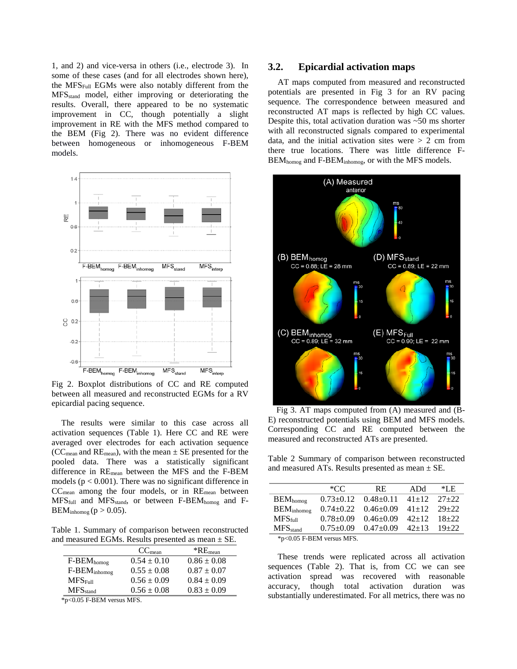1, and 2) and vice-versa in others (i.e., electrode 3). In some of these cases (and for all electrodes shown here), the MFSFull EGMs were also notably different from the MFSstand model, either improving or deteriorating the results. Overall, there appeared to be no systematic improvement in CC, though potentially a slight improvement in RE with the MFS method compared to the BEM (Fig 2). There was no evident difference between homogeneous or inhomogeneous F-BEM models.



Fig 2. Boxplot distributions of CC and RE computed between all measured and reconstructed EGMs for a RV epicardial pacing sequence.

The results were similar to this case across all activation sequences (Table 1). Here CC and RE were averaged over electrodes for each activation sequence (CC<sub>mean</sub> and RE<sub>mean</sub>), with the mean  $\pm$  SE presented for the pooled data. There was a statistically significant difference in REmean between the MFS and the F-BEM models ( $p < 0.001$ ). There was no significant difference in CCmean among the four models, or in REmean between  $MFS<sub>full</sub>$  and  $MFS<sub>stand</sub>$ , or between F-BEM<sub>homog</sub> and F- $BEM_{inhomog}$  ( $p > 0.05$ ).

Table 1. Summary of comparison between reconstructed and measured EGMs. Results presented as mean  $\pm$  SE.

|                          | CC <sub>mean</sub> | $*RE_{mean}$    |  |
|--------------------------|--------------------|-----------------|--|
| $F-BEM_{homog}$          | $0.54 \pm 0.10$    | $0.86 \pm 0.08$ |  |
| F-BEM <sub>inhomog</sub> | $0.55 \pm 0.08$    | $0.87 \pm 0.07$ |  |
| MFS <sub>Full</sub>      | $0.56 \pm 0.09$    | $0.84 \pm 0.09$ |  |
| MFS <sub>stand</sub>     | $0.56 \pm 0.08$    | $0.83 \pm 0.09$ |  |

\*p<0.05 F-BEM versus MFS.

#### **3.2. Epicardial activation maps**

AT maps computed from measured and reconstructed potentials are presented in Fig 3 for an RV pacing sequence. The correspondence between measured and reconstructed AT maps is reflected by high CC values. Despite this, total activation duration was  $~50$  ms shorter with all reconstructed signals compared to experimental data, and the initial activation sites were  $> 2$  cm from there true locations. There was little difference F-BEM<sub>homog</sub> and F-BEM<sub>inhomog</sub>, or with the MFS models.



 Fig 3. AT maps computed from (A) measured and (B-E) reconstructed potentials using BEM and MFS models. Corresponding CC and RE computed between the measured and reconstructed ATs are presented.

Table 2 Summary of comparison between reconstructed and measured ATs. Results presented as mean  $\pm$  SE.

|                                | $*CC$           | RE.             | ADd       | *LE       |
|--------------------------------|-----------------|-----------------|-----------|-----------|
| $BEM_{homog}$                  | $0.73 \pm 0.12$ | $0.48 + 0.11$   | $41+12$   | $27+22$   |
| $BEM_{inhomog}$                | $0.74 + 0.22$   | $0.46 \pm 0.09$ | $41 + 12$ | $29 + 22$ |
| MFS <sub>full</sub>            | $0.78 + 0.09$   | $0.46 \pm 0.09$ | $42+12$   | $18 + 22$ |
| $MFS$ <sub>stand</sub>         | $0.75+0.09$     | $0.47+0.09$     | $42+13$   | $19 + 22$ |
| $*_{p<0.05}$ F-BEM versus MFS. |                 |                 |           |           |

These trends were replicated across all activation sequences (Table 2). That is, from CC we can see activation spread was recovered with reasonable accuracy, though total activation duration was substantially underestimated. For all metrics, there was no